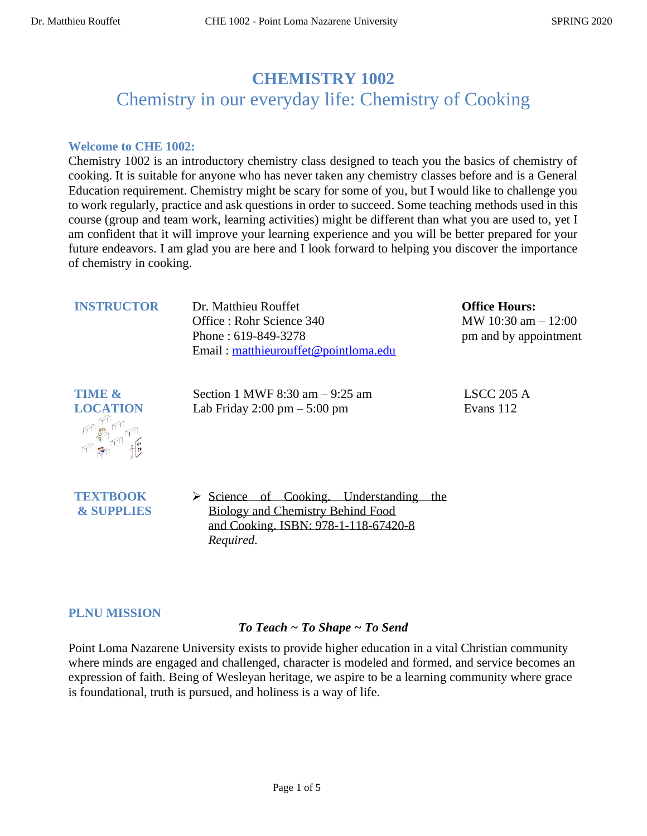# **CHEMISTRY 1002** Chemistry in our everyday life: Chemistry of Cooking

#### **Welcome to CHE 1002:**

Chemistry 1002 is an introductory chemistry class designed to teach you the basics of chemistry of cooking. It is suitable for anyone who has never taken any chemistry classes before and is a General Education requirement. Chemistry might be scary for some of you, but I would like to challenge you to work regularly, practice and ask questions in order to succeed. Some teaching methods used in this course (group and team work, learning activities) might be different than what you are used to, yet I am confident that it will improve your learning experience and you will be better prepared for your future endeavors. I am glad you are here and I look forward to helping you discover the importance of chemistry in cooking.

| <b>INSTRUCTOR</b> |
|-------------------|
|-------------------|

**Dr. Matthieu Rouffet** Office : Rohr Science 340 Phone : 619-849-3278 Email : [matthieurouffet@pointloma.edu](mailto:matthieurouffet@pointloma.edu)

Section 1 MWF 8:30 am – 9:25 am Lab Friday 2:00 pm – 5:00 pm

*Required.*

**Office Hours:**  MW 10:30 am – 12:00 pm and by appointment

LSCC 205 A Evans 112



**TEXTBOOK & SUPPLIES** ➢ Science of Cooking. Understanding the Biology and Chemistry Behind Food and Cooking. ISBN: 978-1-118-67420-8

#### **PLNU MISSION**

# *To Teach ~ To Shape ~ To Send*

Point Loma Nazarene University exists to provide higher education in a vital Christian community where minds are engaged and challenged, character is modeled and formed, and service becomes an expression of faith. Being of Wesleyan heritage, we aspire to be a learning community where grace is foundational, truth is pursued, and holiness is a way of life.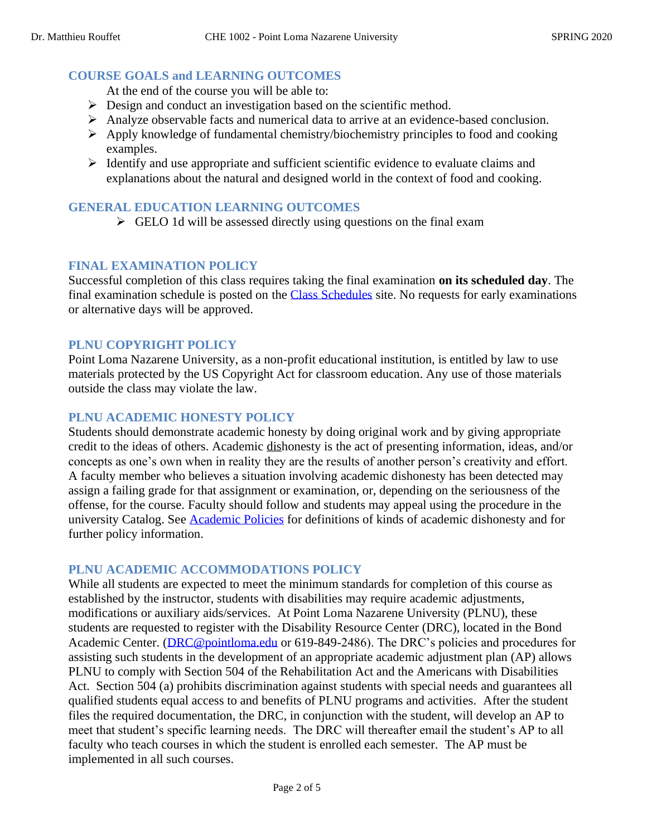### **COURSE GOALS and LEARNING OUTCOMES**

At the end of the course you will be able to:

- ➢ Design and conduct an investigation based on the scientific method.
- ➢ Analyze observable facts and numerical data to arrive at an evidence-based conclusion.
- ➢ Apply knowledge of fundamental chemistry/biochemistry principles to food and cooking examples.
- ➢ Identify and use appropriate and sufficient scientific evidence to evaluate claims and explanations about the natural and designed world in the context of food and cooking.

### **GENERAL EDUCATION LEARNING OUTCOMES**

 $\triangleright$  GELO 1d will be assessed directly using questions on the final exam

#### **FINAL EXAMINATION POLICY**

Successful completion of this class requires taking the final examination **on its scheduled day**. The final examination schedule is posted on the [Class Schedules](http://www.pointloma.edu/experience/academics/class-schedules) site. No requests for early examinations or alternative days will be approved.

#### **PLNU COPYRIGHT POLICY**

Point Loma Nazarene University, as a non-profit educational institution, is entitled by law to use materials protected by the US Copyright Act for classroom education. Any use of those materials outside the class may violate the law.

#### **PLNU ACADEMIC HONESTY POLICY**

Students should demonstrate academic honesty by doing original work and by giving appropriate credit to the ideas of others. Academic dishonesty is the act of presenting information, ideas, and/or concepts as one's own when in reality they are the results of another person's creativity and effort. A faculty member who believes a situation involving academic dishonesty has been detected may assign a failing grade for that assignment or examination, or, depending on the seriousness of the offense, for the course. Faculty should follow and students may appeal using the procedure in the university Catalog. See [Academic Policies](http://catalog.pointloma.edu/content.php?catoid=18&navoid=1278) for definitions of kinds of academic dishonesty and for further policy information.

#### **PLNU ACADEMIC ACCOMMODATIONS POLICY**

While all students are expected to meet the minimum standards for completion of this course as established by the instructor, students with disabilities may require academic adjustments, modifications or auxiliary aids/services. At Point Loma Nazarene University (PLNU), these students are requested to register with the Disability Resource Center (DRC), located in the Bond Academic Center. [\(DRC@pointloma.edu](mailto:DRC@pointloma.edu) or 619-849-2486). The DRC's policies and procedures for assisting such students in the development of an appropriate academic adjustment plan (AP) allows PLNU to comply with Section 504 of the Rehabilitation Act and the Americans with Disabilities Act. Section 504 (a) prohibits discrimination against students with special needs and guarantees all qualified students equal access to and benefits of PLNU programs and activities. After the student files the required documentation, the DRC, in conjunction with the student, will develop an AP to meet that student's specific learning needs. The DRC will thereafter email the student's AP to all faculty who teach courses in which the student is enrolled each semester. The AP must be implemented in all such courses.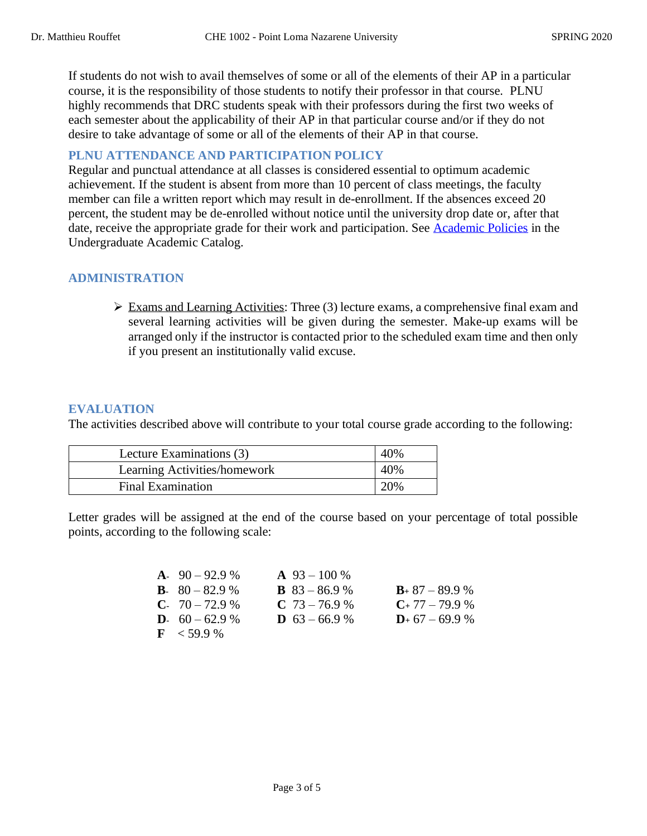If students do not wish to avail themselves of some or all of the elements of their AP in a particular course, it is the responsibility of those students to notify their professor in that course. PLNU highly recommends that DRC students speak with their professors during the first two weeks of each semester about the applicability of their AP in that particular course and/or if they do not desire to take advantage of some or all of the elements of their AP in that course.

# **PLNU ATTENDANCE AND PARTICIPATION POLICY**

Regular and punctual attendance at all classes is considered essential to optimum academic achievement. If the student is absent from more than 10 percent of class meetings, the faculty member can file a written report which may result in de-enrollment. If the absences exceed 20 percent, the student may be de-enrolled without notice until the university drop date or, after that date, receive the appropriate grade for their work and participation. See [Academic Policies](http://catalog.pointloma.edu/content.php?catoid=18&navoid=1278) in the Undergraduate Academic Catalog.

# **ADMINISTRATION**

➢ Exams and Learning Activities: Three (3) lecture exams, a comprehensive final exam and several learning activities will be given during the semester. Make-up exams will be arranged only if the instructor is contacted prior to the scheduled exam time and then only if you present an institutionally valid excuse.

# **EVALUATION**

The activities described above will contribute to your total course grade according to the following:

| Lecture Examinations (3)     | 40% |
|------------------------------|-----|
| Learning Activities/homework | 40% |
| <b>Final Examination</b>     | 20% |

Letter grades will be assigned at the end of the course based on your percentage of total possible points, according to the following scale:

| A. $90 - 92.9%$          | $\mathbf{A}$ 93 – 100 % |                     |
|--------------------------|-------------------------|---------------------|
| <b>B</b> . $80 - 82.9$ % | <b>B</b> $83 - 86.9%$   | $B_+$ 87 – 89.9 %   |
| <b>C</b> . $70 - 72.9$ % | $C$ 73 – 76.9 %         | $C_+$ 77 – 79.9 %   |
| <b>D</b> . $60 - 62.9$ % | <b>D</b> $63 - 66.9$ %  | $D_{+}$ 67 – 69.9 % |
| $\text{F}$ < 59.9 %      |                         |                     |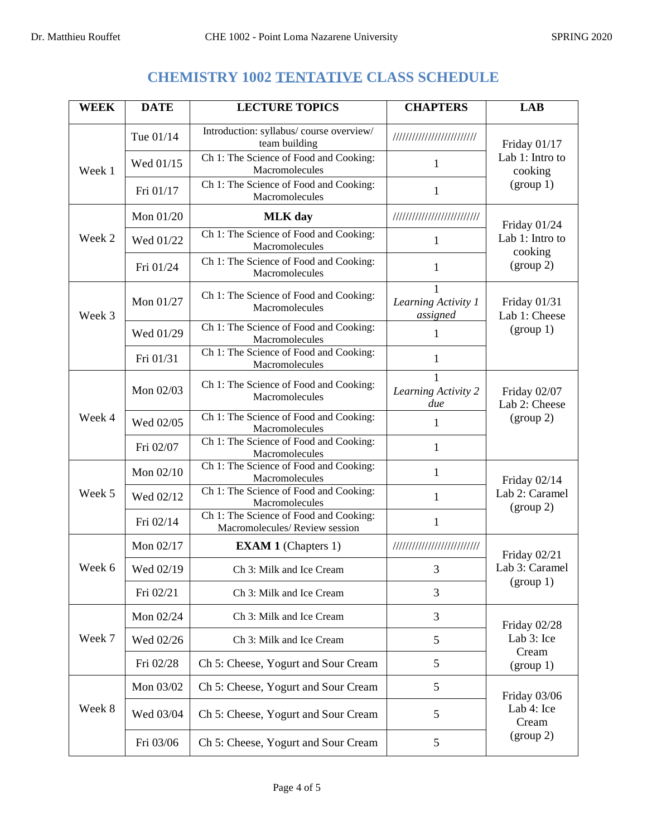# **CHEMISTRY 1002 TENTATIVE CLASS SCHEDULE**

| <b>WEEK</b> | <b>DATE</b> | <b>LECTURE TOPICS</b>                                                   | <b>CHAPTERS</b>                 | <b>LAB</b>                                              |
|-------------|-------------|-------------------------------------------------------------------------|---------------------------------|---------------------------------------------------------|
| Week 1      | Tue 01/14   | Introduction: syllabus/course overview/<br>team building                | //////////////////////////      | Friday 01/17<br>Lab 1: Intro to<br>cooking<br>(group 1) |
|             | Wed 01/15   | Ch 1: The Science of Food and Cooking:<br>Macromolecules                | 1                               |                                                         |
|             | Fri 01/17   | Ch 1: The Science of Food and Cooking:<br>Macromolecules                | $\mathbf{1}$                    |                                                         |
| Week 2      | Mon 01/20   | <b>MLK</b> day                                                          | ///////////////////////////     | Friday 01/24                                            |
|             | Wed 01/22   | Ch 1: The Science of Food and Cooking:<br>Macromolecules                | 1                               | Lab 1: Intro to<br>cooking                              |
|             | Fri 01/24   | Ch 1: The Science of Food and Cooking:<br>Macromolecules                | 1                               | (group 2)                                               |
| Week 3      | Mon 01/27   | Ch 1: The Science of Food and Cooking:<br>Macromolecules                | Learning Activity 1<br>assigned | Friday 01/31<br>Lab 1: Cheese                           |
|             | Wed 01/29   | Ch 1: The Science of Food and Cooking:<br>Macromolecules                | 1                               | (group 1)                                               |
|             | Fri 01/31   | Ch 1: The Science of Food and Cooking:<br>Macromolecules                | 1                               |                                                         |
|             | Mon 02/03   | Ch 1: The Science of Food and Cooking:<br>Macromolecules                | Learning Activity 2<br>due      | Friday 02/07<br>Lab 2: Cheese                           |
| Week 4      | Wed 02/05   | Ch 1: The Science of Food and Cooking:<br>Macromolecules                | 1                               | (group 2)                                               |
|             | Fri 02/07   | Ch 1: The Science of Food and Cooking:<br>Macromolecules                | $\mathbf{1}$                    |                                                         |
|             | Mon 02/10   | Ch 1: The Science of Food and Cooking:<br>Macromolecules                | 1                               | Friday 02/14                                            |
| Week 5      | Wed 02/12   | Ch 1: The Science of Food and Cooking:<br>Macromolecules                | $\mathbf{1}$                    | Lab 2: Caramel<br>(group 2)                             |
|             | Fri 02/14   | Ch 1: The Science of Food and Cooking:<br>Macromolecules/Review session | $\mathbf{1}$                    |                                                         |
|             | Mon 02/17   | <b>EXAM 1</b> (Chapters 1)                                              | ///////////////////////////     | Friday 02/21                                            |
| Week 6      | Wed 02/19   | Ch 3: Milk and Ice Cream                                                | 3                               | Lab 3: Caramel                                          |
|             | Fri 02/21   | Ch 3: Milk and Ice Cream                                                | 3                               | (group 1)                                               |
|             | Mon 02/24   | Ch 3: Milk and Ice Cream                                                | 3                               | Friday 02/28                                            |
| Week 7      | Wed 02/26   | Ch 3: Milk and Ice Cream                                                | 5                               | Lab 3: Ice                                              |
|             | Fri 02/28   | Ch 5: Cheese, Yogurt and Sour Cream                                     | 5                               | Cream<br>(group 1)                                      |
| Week 8      | Mon 03/02   | Ch 5: Cheese, Yogurt and Sour Cream                                     | 5                               | Friday 03/06<br>Lab 4: Ice<br>Cream                     |
|             | Wed 03/04   | Ch 5: Cheese, Yogurt and Sour Cream                                     | 5                               |                                                         |
|             | Fri 03/06   | Ch 5: Cheese, Yogurt and Sour Cream                                     | 5                               | (group 2)                                               |